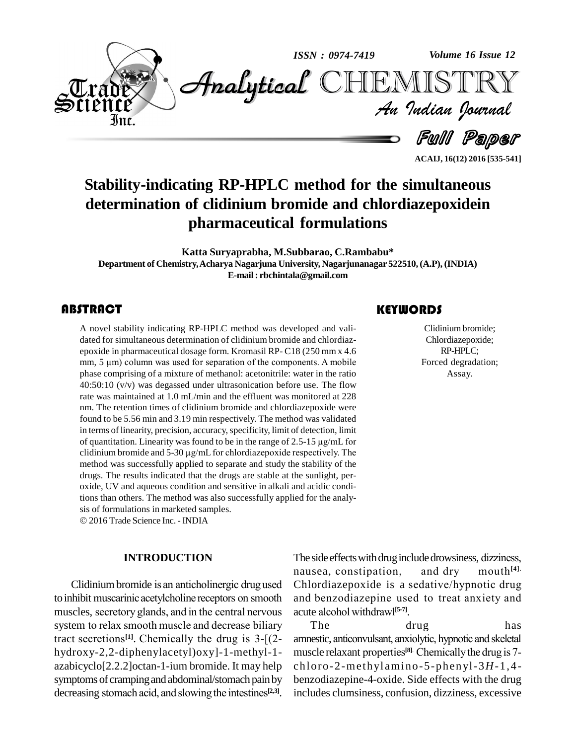

**Stability-indicating RP-HPLC method for the simultaneous determination of clidinium bromide and chlordiazepoxidein pharmaceutical formulations**

**Katta Suryaprabha, M.Subbarao, C.Rambabu\* Department of Chemistry,Acharya Nagarjuna University, Nagarjunanagar 522510,(A.P), (INDIA) E-mail: [rbchintala@gmail.com](mailto:rbchintala@gmail.com)**

A novel stability indicating RP-HPLC method was developed and vali-<br>dated for simultaneous determination of clidinium bromide and chlordiaz-<br>epoxide in pharmaceutical dosage form. Kromasil RP-C18 (250 mm x 4.6 A novel stability indicating RP-HPLC method was developed and vali dated for simultaneous determination of clidinium bromide and chlordiaz dated for simultaneous determination of clidinium bromide and chlordiaz-<br>epoxide in pharmaceutical dosage form. Kromasil RP- C18 (250 mm x 4.6<br>mm, 5 µm) column was used for separation of the components. A mobile phase comprising of a mixture of methanol: acetonitrile: water in the ratio  $40:50:10$  (v/v) was degassed under ultrasonication before use. The flow rate was maintained at 1.0 mL/min and the effluent was monitored at 228 nm. The retention times of clidinium bromide and chlordiazepoxide were found to be 5.56 min and 3.19 min respectively. The method was validated in terms of linearity, precision, accuracy,specificity, limit of detection, limit found to be 5.56 min and 3.19 min respectively. The method was validated<br>in terms of linearity, precision, accuracy, specificity, limit of detection, limit<br>of quantitation. Linearity was found to be in the range of 2.5-15 of quantitation. Linearity was found to be in the range of 2.5-15  $\mu$ g/mL for chlordiazepoxide respectively. The method was successfully applied to separate and study the stability of the drugs. The results indicated that the drugs are stable at the sunlight, per oxide, UV and aqueous condition and sensitive in alkali and acidic conditions than others. The method was also successfully applied for the analy- sis of formulations in marketed samples. © 2016 Trade Science Inc. - INDIA

# **INTRODUCTION**

nause.<br>Clidinium bromide is an anticholine receptor drug used Chlore<br>to inhibit muscarinic acetylcholine receptors on smooth and be Clidinium bromide is an anticholinergic drug used Chlo<br>to inhibit muscarinic acetylcholine receptors on smooth and<br>muscles, secretory glands, and in the central nervous acute to inhibit muscarinic acetylcholine receptors on smooth and be muscles, secretory glands, and in the central nervous acute a system to relax smooth muscle and decrease biliary Th muscles, secretory glands, and in the central nervous acust acusts are system to relax smooth muscle and decrease biliary tract secretions<sup>[1]</sup>. Chemically the drug is  $3-[2-$  amm hydroxy-2,2-diphenylacetyl)oxy]-1-methyl-1 azabicyclo[2.2.2]octan-1-ium bromide. It may help symptoms of cramping and abdominal/stomach pain by azabicyclo[2.2.2]octan-1-ium bromide. It may help charasymptoms of cramping and abdominal/stomach pain by be decreasing stomach acid, and slowing the intestines<sup>[2,3]</sup>. in

# **KEYWORDS**

Clidinium brom<br>Chlordiazepoxi<br>RP-HPLC; Clidiniumbromide; Chlordiazepoxide; RP-HPLC; Forced degradation; Assay.

**ACAIJ, 16(12) 2016 [535-541]**

nausea, constipation,<br>Clidinium bromide is an anticholinergic drug used Chlordiazepoxide is a The side effects with drug include drowsiness, dizziness, The side effects with drug include drowsiness, dizziness,<br>nausea, constipation, and dry mouth<sup>[4].</sup> mouth<sup>[4]</sup>. The side effects with drug include drowsiness, dizziness,<br>nausea, constipation, and dry mouth<sup>[4].</sup><br>Chlordiazepoxide is a sedative/hypnotic drug nausea, constipation, and dry mouth<sup>[4].</sup><br>Chlordiazepoxide is a sedative/hypnotic drug<br>and benzodiazepine used to treat anxiety and Chlordiazepoxide is a se<br>and benzodiazepine used<br>acute alcohol withdrawl<sup>[5-7]</sup>. acute alcohol withdraw<sup>[5-7]</sup>.

The drug has acute alcohol withdrawl<sup>[5-7]</sup>.<br>The drug has<br>amnestic, anticonvulsant, anxiolytic, hypnotic and skeletal The drug has<br>amnestic, anticonvulsant, anxiolytic, hypnotic and skeletal<br>muscle relaxant properties<sup>[8]</sup>. Chemically the drug is 7drug<br>**k**iolytic, hypnotic and skeletal<br><sup>[8].</sup> Chemically the drug is 7chloro-2-methyl amino-5-phenyl-3*H*-1,4 benzodiazepine-4-oxide. Side effects with the drug includes clumsiness, confusion, dizziness, excessive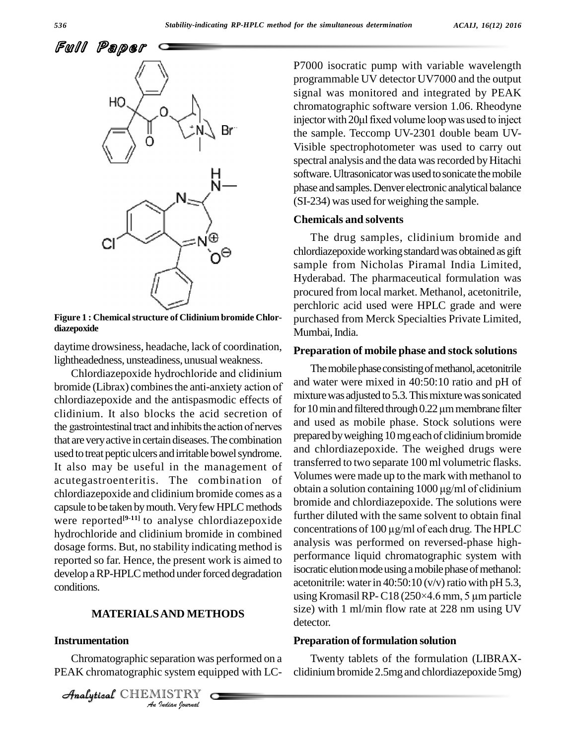

**Figure 1 : Chemicalstructure of Clidinium bromide Chlor diazepoxide**

daytime drowsiness, headache, lack of coordination, lightheadedness, unsteadiness, unusual weakness.

Chlordiazepoxide hydrochloride and clidinium bromide (Librax) combines the anti-anxiety action of chlordiazepoxide and the antispasmodic effects of mixt<br>clidinium. It also blocks the acid secretion of for 10<br>the gastrointestinal tract and inhibits the action of nerves and clidinium. It also blocks the acid secretion of for  $10 \text{ min}$  and filtered through  $0.22 \mu$ m membrane filter that areveryactive in certaindiseases.The combination used to treat peptic ulcers and irritable bowel syndrome. It also may be useful in the management of acutegastroenteritis. The combination of volumes were made up to the mark with methanol to<br>obtain a solution containing 1000 µg/ml of clidinium chlordiazepoxide and clidinium bromide comes as a capsule to be taken by mouth. Very few HPLC methods were reported<sup>[9-11]</sup> to analyse chlordiazepoxide <sup>lurine</sup> hydrochloride and clidinium bromide in combined<br>concentrations of 100 µg/ml of each drug. The HPLC dosage forms. But, no stability indicating method is reported so far. Hence, the present work is aimed to develop a RP-HPLC method under forced degradation conditions.

#### **MATERIALSAND METHODS**

## **Instrumentation**

**Paration was**<br>*ISTRY*<br>*ISTRY*<br>*Indian Iournal* Chromatographic separation was performed on a PEAK chromatographic system equipped with LC-

CHEMISTRY

P7000 isocratic pump with variable wavelength programmable UV detector UV7000 and the output signal was monitored and integrated by PEAK chromatographic software version 1.06. Rheodyne injector with 20µl fixed volume loop was used to inject the sample. Teccomp UV-2301 double beam UV- Visible spectrophotometer was used to carry out spectral analysis and the data was recorded by Hitachi software. Ultrasonicator was used to sonicate the mobile phase and samples. Denver electronic analytical balance (SI-234) was used for weighing the sample.

## **Chemicals and solvents**

The drug samples, clidinium bromide and chlordiazepoxideworkingstandardwas obtained as gift sample from Nicholas Piramal India Limited, Hyderabad. The pharmaceutical formulation was procured from local market. Methanol, acetonitrile, perchloric acid used were HPLC grade and were purchased from Merck Specialties Private Limited, Mumbai, India.

#### **Preparation of mobile phase and stock solutions**

The mobile phase consisting of methanol, acetonitrile and water were mixed in 40:50:10 ratio and pH of<br>mixture was adjusted to 5.3. This mixture was sonicated<br>for 10 min and filtered through 0.22  $\mu$ m membrane filter mixture was adjusted to 5.3. This mixture was sonicated and used as mobile phase. Stock solutions were prepared by weighing 10 mg each of clidinium bromide and chlordiazepoxide. The weighed drugs were transferred to two separate 100 ml volumetric flasks. Volumes were made up to the mark with methanol to transferred to two separate 100 ml volumetric flasks.<br>Volumes were made up to the mark with methanol to<br>obtain a solution containing 1000 µg/ml of clidinium bromide and chlordiazepoxide. The solutions were<br>further diluted with the same solvent to obtain final<br>concentrations of 100 µg/ml of each drug. The HPLC further diluted with the same solvent to obtain final analysis was performed on reversed-phase high performance liquid chromatographic system with isocratic elution mode using a mobile phase of methanol: acetonitrile: water in  $40:50:10$  (v/v) ratio with pH 5.3, using KromasilRP-C18 (250×4.6 mm, <sup>5</sup> µm particle size) with 1 ml/min flow rate at 228 nm using UV detector.

#### **Preparation of formulation solution**

Twenty tablets of the formulation (LIBRAX clidinium bromide 2.5mg and chlordiazepoxide 5mg)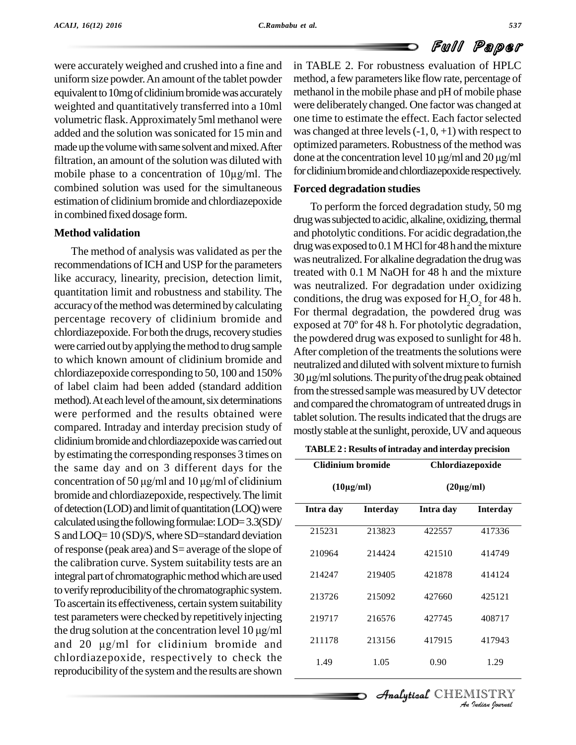were accurately weighed and crushed into a fine and uniform size powder. An amount of the tablet powder equivalent to 10mg of clidinium bromide was accurately weighted and quantitatively transferred into a 10ml volumetric flask.Approximately 5ml methanol were added and the solution was sonicated for 15 min and made up the volume with same solvent and mixed. After optimized parameters. Robustness of the method was<br>filtration an amount of the solution was diluted with done at the concentration level 10 µg/ml and 20 µg/ml filtration, an amount of the solution was diluted with done at made up the volume with same solvent and mixed. After optim<br>filtration, an amount of the solution was diluted with done a<br>mobile phase to a concentration of  $10\mu\text{g/ml}$ . The forclic combined solution was used for the simultaneous estimation of clidiniumbromide and chlordiazepoxide in combined fixed dosage form.

# **Method validation**

The method of analysis was validated as per the recommendations of ICH and USP for the parameters like accuracy, linearity, precision, detection limit, quantitation limit and robustness and stability. The accuracy of the method was determined by calculating percentage recovery of clidinium bromide and<br>exposed at 70° for 48 h. For photolytic degradation, chlordiazepoxide. For both the drugs, recovery studies were carried out by applying the method to drug sample to which known amount of clidinium bromide and chlordiazepoxide corresponding to 50, 100 and 150%  $\frac{100 \text{ }\mu\text{s}}{30 \text{ }\mu\text{s}}$  of the purity of the drug peak obtained of label claim had been added (standard addition method). At each level of the amount, six determinations were performed and the results obtained were compared. Intraday and interday precision study of clidiniumbromideandchlordiazepoxidewascarriedout by estimating the corresponding responses 3 times on<br>the same day and on 3 different days for the<br>concentration of 50  $\mu$ g/ml and 10  $\mu$ g/ml of clidinium the same day and on 3 different days for the bromide and chlordiazepoxide, respectively. The limit of detection (LOD) and limit of quantitation (LOQ) were calculated using the following formulae:  $LOD=3.3(SD)/$ S and LOQ= 10 (SD)/S, where SD=standard deviation of response (peak area) and  $S$ = average of the slope of the calibration curve. System suitability tests are an integral part of chromatographic method which are used to verify reproducibility of the chromatographic system. To ascertain its effectiveness, certain system suitability<br>test parameters were checked by repetitively injecting<br>the drug solution at the concentration level  $10 \mu\text{g/ml}$ test parameters were checked byrepetitively injecting the drug solution at the concentration level  $10 \mu\text{g/ml}$ <br>and  $20 \mu\text{g/ml}$  for clidinium bromide and chlordiazepoxide, respectively to check the reproducibility of the system and the results are shown

in TABLE 2. For robustness evaluation of HPLC method, a few parameters like flow rate, percentage of methanol in themobile phase and pH of mobile phase were deliberately changed. One factor was changed at one time to estimate the effect. Each factor selected was changed at three levels  $(-1, 0, +1)$  with respect to optimized parameters. Robustness of the method was was changed at three levels  $(-1, 0, +1)$  with respect to<br>optimized parameters. Robustness of the method was<br>done at the concentration level  $10 \mu\text{g/ml}$  and  $20 \mu\text{g/ml}$ for clidinium bromide and chlordiazepoxide respectively.

# **Forced degradation studies**

To perform the forced degradation study, 50 mg drug was subjected to acidic, alkaline, oxidizing, thermal and photolytic conditions. For acidic degradation,the drug was exposed to  $0.1$  MHCl for 48 h and the mixture was neutralized. For alkaline degradation the drugwas treated with 0.1 M NaOH for 48 h and the mixture was neutralized. For degradation under oxidizing For thermal degradation, the powdered drug was conditions, the drug was exposed for  $H<sub>2</sub>O<sub>2</sub>$  for 48 h. the powdered drug was exposed to sunlight for 48 h. After completion of the treatments the solutions were<br>neutralized and diluted with solvent mixture to furnish<br>30 µg/ml solutions. The purity of the drug peak obtained neutralized and diluted with solvent mixture to furnish from the stressed sample was measured by UV detector and compared the chromatogram of untreated drugs in tablet solution. The results indicated that the drugs are mostly stable at the sunlight, peroxide, UV and aqueous

| TABLE 2 : Results of intraday and interday precision |  |
|------------------------------------------------------|--|
|------------------------------------------------------|--|

| <b>Clidinium bromide</b> |                 | Chlordiazepoxide<br>$(20\mu g/ml)$ |                 |  |  |
|--------------------------|-----------------|------------------------------------|-----------------|--|--|
| $(10\mu g/ml)$           |                 |                                    |                 |  |  |
| Intra day                | <b>Interday</b> | Intra day                          | <b>Interday</b> |  |  |
| 215231                   | 213823          | 422557                             | 417336          |  |  |
| 210964                   | 214424          | 421510                             | 414749          |  |  |
| 214247                   | 219405          | 421878                             | 414124          |  |  |
| 213726                   | 215092          | 427660                             | 425121          |  |  |
| 219717                   | 216576          | 427745                             | 408717          |  |  |
| 211178                   | 213156          | 417915                             | 417943          |  |  |
| 1.49                     | 1.05            | 0.90                               | 1.29            |  |  |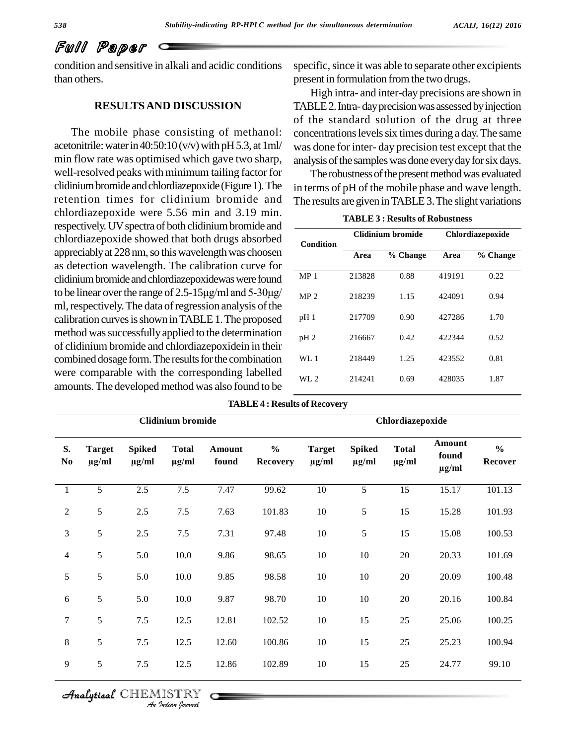# Full Paper

condition and sensitive in alkali and acidic conditions than others.

# **RESULTSAND DISCUSSION**

The mobile phase consisting of methanol: acetonitrile: water in  $40:50:10$  (v/v) with pH 5.3, at 1ml/ min flow rate was optimised which gave two sharp, well-resolved peaks with minimum tailing factor for clidinium bromide and chlordiazepoxide (Figure 1). The retention times for clidinium bromide and chlordiazepoxide were 5.56 min and 3.19 min. respectively. UV spectra of both clidinium bromide and chlordiazepoxide showed that both drugs absorbed appreciably at 228 nm, so this wavelength was choosen as detection wavelength. The calibration curve for didinium bromide and ebloriszonovide were found clidinium bromide and chlordiazepoxidewas were found to be linear over the range of 2.5-15 $\mu$ g/ml and 5-30 $\mu$ g/ $\mu$ ml, respectively. The data of regression analysis of the calibration curves is shown in TABLE 1. The proposed  $p$ method was successfully applied to the determination of clidinium bromide and chlordiazepoxidein in their combined dosage form. The results for the combination were comparable with the corresponding labelled amounts. The developed method was also found to be

specific, since it was able to separate other excipients present in formulation from the two drugs.

High intra- and inter-day precisions are shown in TABLE 2. Intra-day precision was assessed by injection of the standard solution of the drug at three concentrations levels six times during a day. The same was done for inter- day precision test except that the analysis of the samples was done every day for six days.

The robustness of the present method was evaluated in terms of pH of the mobile phase and wave length. The results are given in TABLE 3. The slight variations

| Condition       |        | Clidinium bromide | Chlordiazepoxide |          |  |
|-----------------|--------|-------------------|------------------|----------|--|
|                 | Area   | % Change          | Area             | % Change |  |
| MP <sub>1</sub> | 213828 | 0.88              | 419191           | 0.22     |  |
| MP 2            | 218239 | 1.15              | 424091           | 0.94     |  |
| pH 1            | 217709 | 0.90              | 427286           | 1.70     |  |
| pH <sub>2</sub> | 216667 | 0.42              | 422344           | 0.52     |  |
| WL 1            | 218449 | 1.25              | 423552           | 0.81     |  |
| WL 2            | 214241 | 0.69              | 428035           | 1.87     |  |

| <b>TABLE 3 : Results of Robustness</b> |  |
|----------------------------------------|--|
|----------------------------------------|--|

| <b>Clidinium</b> bromide     |                             |                             |                            |                        | Chlordiazepoxide                 |                             |                             |                            |                               |                          |
|------------------------------|-----------------------------|-----------------------------|----------------------------|------------------------|----------------------------------|-----------------------------|-----------------------------|----------------------------|-------------------------------|--------------------------|
| S.<br>$\mathbf{N}\mathbf{o}$ | <b>Target</b><br>$\mu$ g/ml | <b>Spiked</b><br>$\mu$ g/ml | <b>Total</b><br>$\mu$ g/ml | <b>Amount</b><br>found | $\frac{0}{0}$<br><b>Recovery</b> | <b>Target</b><br>$\mu$ g/ml | <b>Spiked</b><br>$\mu$ g/ml | <b>Total</b><br>$\mu$ g/ml | Amount<br>found<br>$\mu$ g/ml | $\frac{0}{0}$<br>Recover |
| $\mathbf{1}$                 | 5                           | 2.5                         | 7.5                        | 7.47                   | 99.62                            | 10                          | 5                           | 15                         | 15.17                         | 101.13                   |
| $\overline{2}$               | $\sqrt{5}$                  | $2.5\,$                     | $7.5$                      | 7.63                   | 101.83                           | $10\,$                      | 5                           | 15                         | 15.28                         | 101.93                   |
| 3                            | $\sqrt{5}$                  | $2.5\,$                     | $7.5\,$                    | 7.31                   | 97.48                            | $10\,$                      | 5                           | 15                         | 15.08                         | 100.53                   |
| $\overline{4}$               | $\sqrt{5}$                  | 5.0                         | 10.0                       | 9.86                   | 98.65                            | 10                          | 10                          | $20\,$                     | 20.33                         | 101.69                   |
| 5                            | $\sqrt{5}$                  | 5.0                         | 10.0                       | 9.85                   | 98.58                            | 10                          | $10\,$                      | $20\,$                     | 20.09                         | 100.48                   |
| 6                            | $\mathfrak{S}$              | 5.0                         | 10.0                       | 9.87                   | 98.70                            | 10                          | 10                          | $20\,$                     | 20.16                         | 100.84                   |
| $\tau$                       | $\sqrt{5}$                  | $7.5\,$                     | 12.5                       | 12.81                  | 102.52                           | $10\,$                      | 15                          | $25\,$                     | 25.06                         | 100.25                   |
| $\,8\,$                      | $\sqrt{5}$                  | $7.5$                       | 12.5                       | 12.60                  | 100.86                           | 10                          | 15                          | 25                         | 25.23                         | 100.94                   |
| 9                            | $\sqrt{5}$                  | $7.5\,$                     | 12.5                       | 12.86                  | 102.89                           | 10                          | 15                          | $25\,$                     | 24.77                         | 99.10                    |

**TABLE4 : Results of Recovery**

# CHEMISTRY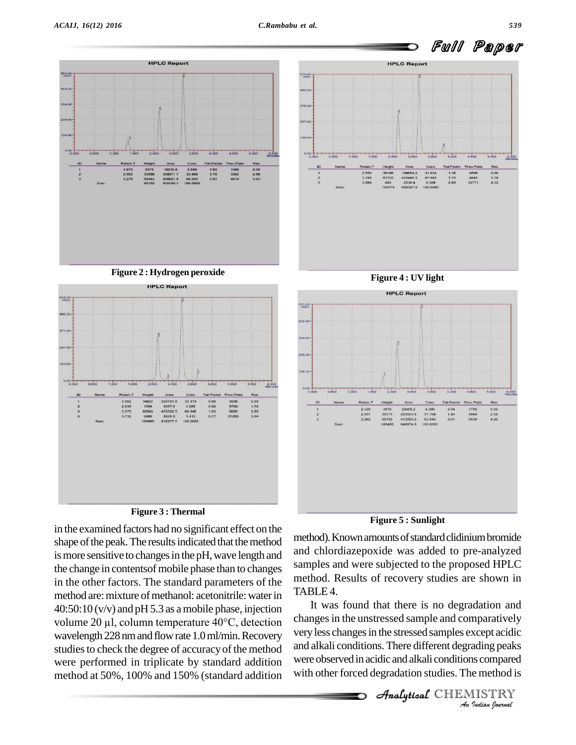

in the examined factors had no significant effect on the shape of the peak. The results indicated that the method is more sensitive to changes in the pH, wave length and the change in contentsof mobile phase than to changes in the other factors. The standard parameters of the method are: mixture of methanol: acetonitrile: water in  $40:50:10$  (v/v) and pH 5.3 as a mobile phase, injection volume <sup>20</sup> µl, column temperature 40°C, detection wavelength 228 nm and flow rate 1.0 ml/min. Recovery studies to check the degree of accuracy of the method were performed in triplicate by standard addition method at 50%, 100% and 150% (standard addition **Figure 5 : Sunlight**

method). Known amounts of standard clidinium bromide and chlordiazepoxide was added to pre-analyzed samples and were subjected to the proposed HPLC method. Results of recovery studies are shown in TABLE 4.

*Analytical very less changes in the stressed samples except acidic I*<br>*Indian Journal*<br>*I*<br>*IISTRY*<br>*Indian Sournal* It was found that there is no degradation and changes in the unstressed sample and comparatively and alkali conditions.There different degrading peaks were observed in acidic and alkali conditions compared with other forced degradation studies. The method is

**Analytical** CHEMISTRY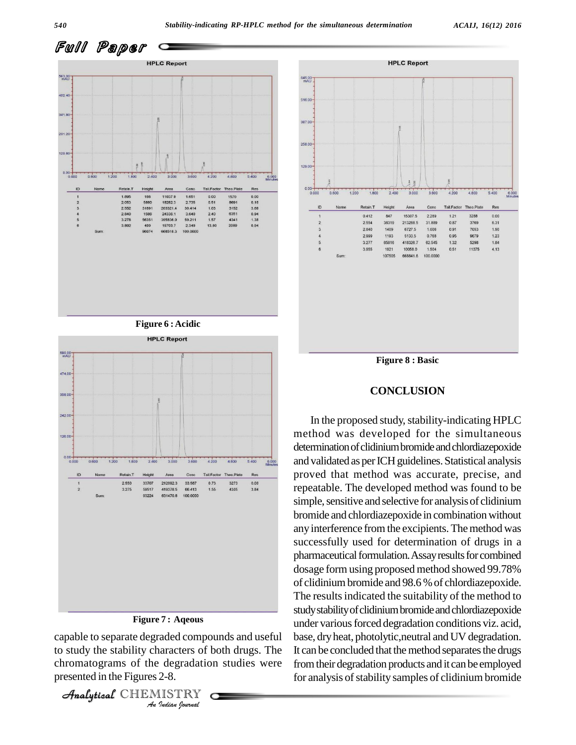



*In* **Indian**<br>Indian *Indian*<br>2-8.<br>*IISTRY* capable to separate degraded compounds and useful ba to study the stability characters of both drugs. The It can chromatograms of the degradation studies were presented in the Figures 2-8.

```
Analytical CHEMISTRY
```
3.275

Sum

59517

93224

419378.5

631470.8

66.413

100,0000

 $1.55$ 

3.84



**Figure 8 : Basic**

#### **CONCLUSION**

In the proposed study, stability-indicating HPLC method was developed for the simultaneous determination of clidinium bromide and chlordiazepoxide and validated as per ICH guidelines. Statistical analysis proved that method was accurate, precise, and repeatable. The developed method was found to be simple, sensitive and selective for analysis of clidinium bromide and chlordiazepoxide in combination without any interference from the excipients. The method was successfully used for determination of drugs in a pharmaceutical formulation. Assay results for combined dosage form using proposed method showed 99.78% of clidiniumbromide and 98.6 %of chlordiazepoxide. The results indicated the suitability of the method to studystabilityofclidiniumbromideandchlordiazepoxide under various forced degradation conditions viz. acid, base, dryheat, photolytic,neutral and UV degradation. It can be concluded that the method separates the drugs fromtheir degradation products and it can be employed for analysis of stability samples of clidinium bromide